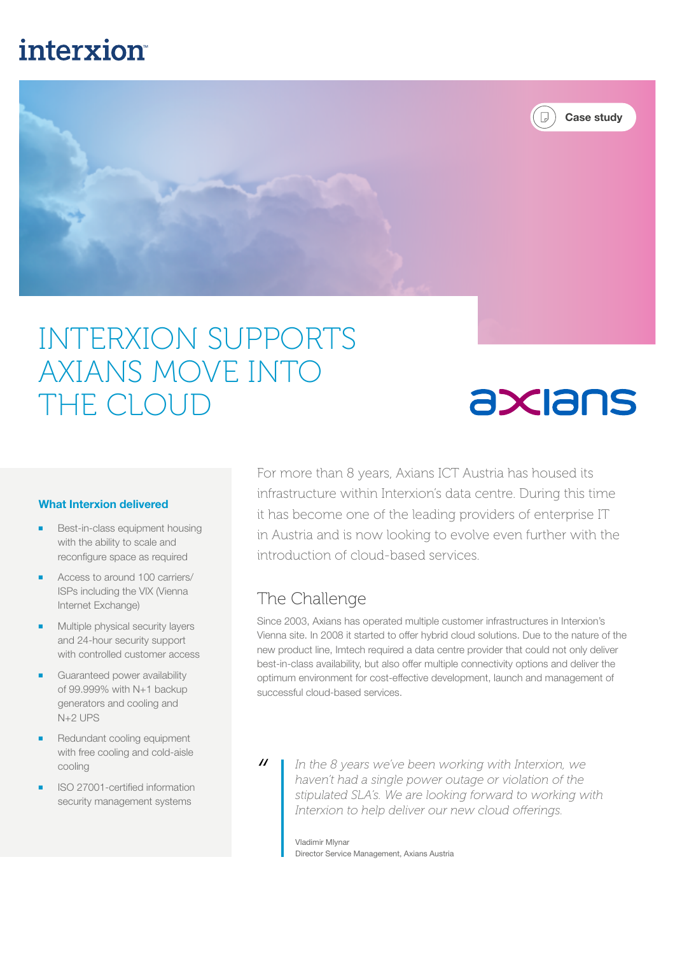## **interxion**



# INTERXION SUPPORTS AXIANS MOVE INTO THE CLOUD

#### What Interxion delivered

- Best-in-class equipment housing with the ability to scale and reconfigure space as required
- Access to around 100 carriers/ ISPs including the VIX (Vienna Internet Exchange)
- Multiple physical security layers and 24-hour security support with controlled customer access
- Guaranteed power availability of 99.999% with N+1 backup generators and cooling and N+2 UPS
- Redundant cooling equipment with free cooling and cold-aisle cooling
- ISO 27001-certified information security management systems

For more than 8 years, Axians ICT Austria has housed its infrastructure within Interxion's data centre. During this time it has become one of the leading providers of enterprise IT in Austria and is now looking to evolve even further with the introduction of cloud-based services.

axians

#### The Challenge

Since 2003, Axians has operated multiple customer infrastructures in Interxion's Vienna site. In 2008 it started to offer hybrid cloud solutions. Due to the nature of the new product line, Imtech required a data centre provider that could not only deliver best-in-class availability, but also offer multiple connectivity options and deliver the optimum environment for cost-effective development, launch and management of successful cloud-based services.

 $\overline{u}$ 

*In the 8 years we've been working with Interxion, we haven't had a single power outage or violation of the stipulated SLA's. We are looking forward to working with Interxion to help deliver our new cloud offerings.*

Vladimir Mlynar Director Service Management, Axians Austria